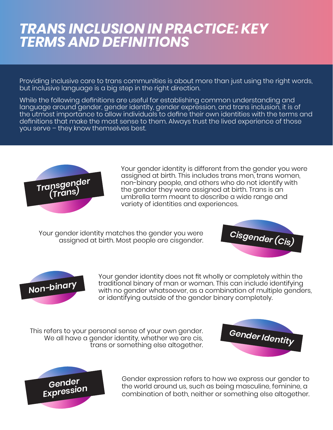## *TRANS INCLUSION IN PRACTICE: KEY TERMS AND DEFINITIONS*

Providing inclusive care to trans communities is about more than just using the right words, but inclusive language is a big step in the right direction.

While the following definitions are useful for establishing common understanding and language around gender, gender identity, gender expression, and trans inclusion, it is of the utmost importance to allow individuals to define their own identities with the terms and definitions that make the most sense to them. Always trust the lived experience of those you serve – they know themselves best.



Your gender identity is different from the gender you were assigned at birth. This includes trans men, trans women, non-binary people, and others who do not identify with the gender they were assigned at birth. Trans is an umbrella term meant to describe a wide range and variety of identities and experiences.

Your gender identity matches the gender you were *Cisgender (Cis)* assigned at birth. Most people are cisgender.





Your gender identity does not fit wholly or completely within the<br>traditional binary of man or woman. This can include identifying<br>with no gender whatsoever, as a combination of multiple genders, traditional binary of man or woman. This can include identifying or identifying outside of the gender binary completely.

This refers to your personal sense of your own gender. *Gender Identity* We all have a gender identity, whether we are cis, trans or something else altogether.





Gender expression refers to how we express our gender to the world around us, such as being masculine, feminine, a combination of both, neither or something else altogether.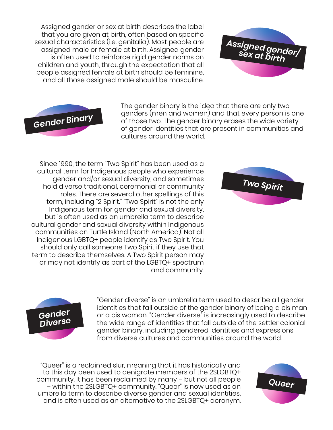Assigned gender or sex at birth describes the label that you are given at birth, often based on specific sexual characteristics (i.e. genitalia). Most people are assigned male or female at birth. Assigned gender is often used to reinforce rigid gender norms on children and youth, through the expectation that all people assigned female at birth should be feminine, and all those assigned male should be masculine.





The gender binary is the idea that there are only two genders (men and women) and that every person is one of those two. The gender binary erases the wide variety of gender identities that are present in communities and cultures around the world.

Since 1990, the term "Two Spirit" has been used as a cultural term for Indigenous people who experience gender and/or sexual diversity, and sometimes hold diverse traditional, ceremonial or community roles. There are several other spellings of this term, including "2 Spirit." "Two Spirit" is not the only Indigenous term for gender and sexual diversity, but is often used as an umbrella term to describe cultural gender and sexual diversity within Indigenous communities on Turtle Island (North America). Not all Indigenous LGBTQ+ people identify as Two Spirit. You should only call someone Two Spirit if they use that term to describe themselves. A Two Spirit person may or may not identify as part of the LGBTQ+ spectrum and community.





"Gender diverse" is an umbrella term used to describe all gender identities that fall outside of the gender binary of being a cis man or a cis woman. "Gender diverse" is increasingly used to describe the wide range of identities that fall outside of the settler colonial gender binary, including gendered identities and expressions from diverse cultures and communities around the world.

"Queer" is a reclaimed slur, meaning that it has historically and to this day been used to denigrate members of the 2SLGBTQ+ community. It has been reclaimed by many – but not all people – within the 2SLGBTQ+ community. "Queer" is now used as an umbrella term to describe diverse gender and sexual identities, and is often used as an alternative to the 2SLGBTQ+ acronym.